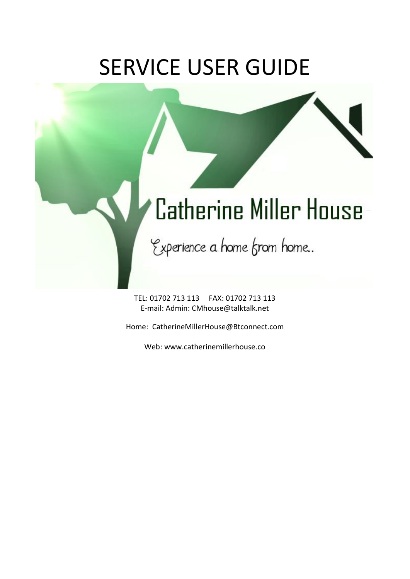## SERVICE USER GUIDE

## **Catherine Miller House**

Experience a home from home..

TEL: 01702 713 113 FAX: 01702 713 113 E-mail: Admin: CMhouse@talktalk.net

Home: CatherineMillerHouse@Btconnect.com

Web: www.catherinemillerhouse.co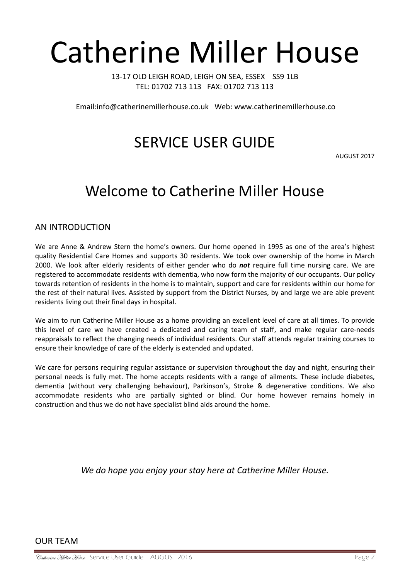# Catherine Miller House

13-17 OLD LEIGH ROAD, LEIGH ON SEA, ESSEX SS9 1LB TEL: 01702 713 113 FAX: 01702 713 113

Email:info@catherinemillerhouse.co.uk Web: www.catherinemillerhouse.co

### SERVICE USER GUIDE

AUGUST 2017

### Welcome to Catherine Miller House

AN INTRODUCTION

We are Anne & Andrew Stern the home's owners. Our home opened in 1995 as one of the area's highest quality Residential Care Homes and supports 30 residents. We took over ownership of the home in March 2000. We look after elderly residents of either gender who do *not* require full time nursing care. We are registered to accommodate residents with dementia, who now form the majority of our occupants. Our policy towards retention of residents in the home is to maintain, support and care for residents within our home for the rest of their natural lives. Assisted by support from the District Nurses, by and large we are able prevent residents living out their final days in hospital.

We aim to run Catherine Miller House as a home providing an excellent level of care at all times. To provide this level of care we have created a dedicated and caring team of staff, and make regular care-needs reappraisals to reflect the changing needs of individual residents. Our staff attends regular training courses to ensure their knowledge of care of the elderly is extended and updated.

We care for persons requiring regular assistance or supervision throughout the day and night, ensuring their personal needs is fully met. The home accepts residents with a range of ailments. These include diabetes, dementia (without very challenging behaviour), Parkinson's, Stroke & degenerative conditions. We also accommodate residents who are partially sighted or blind. Our home however remains homely in construction and thus we do not have specialist blind aids around the home.

*We do hope you enjoy your stay here at Catherine Miller House.*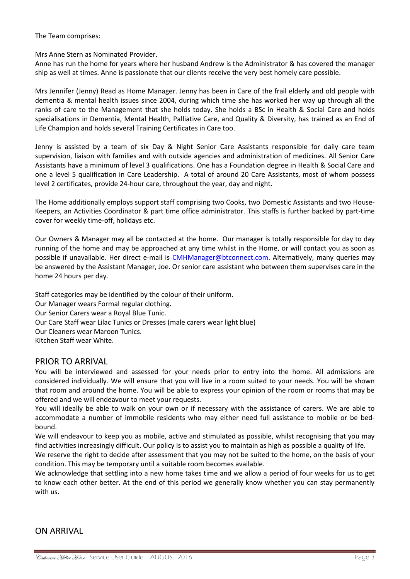The Team comprises:

Mrs Anne Stern as Nominated Provider.

Anne has run the home for years where her husband Andrew is the Administrator & has covered the manager ship as well at times. Anne is passionate that our clients receive the very best homely care possible.

Mrs Jennifer (Jenny) Read as Home Manager. Jenny has been in Care of the frail elderly and old people with dementia & mental health issues since 2004, during which time she has worked her way up through all the ranks of care to the Management that she holds today. She holds a BSc in Health & Social Care and holds specialisations in Dementia, Mental Health, Palliative Care, and Quality & Diversity, has trained as an End of Life Champion and holds several Training Certificates in Care too.

Jenny is assisted by a team of six Day & Night Senior Care Assistants responsible for daily care team supervision, liaison with families and with outside agencies and administration of medicines. All Senior Care Assistants have a minimum of level 3 qualifications. One has a Foundation degree in Health & Social Care and one a level 5 qualification in Care Leadership. A total of around 20 Care Assistants, most of whom possess level 2 certificates, provide 24-hour care, throughout the year, day and night.

The Home additionally employs support staff comprising two Cooks, two Domestic Assistants and two House-Keepers, an Activities Coordinator & part time office administrator. This staffs is further backed by part-time cover for weekly time-off, holidays etc.

Our Owners & Manager may all be contacted at the home. Our manager is totally responsible for day to day running of the home and may be approached at any time whilst in the Home, or will contact you as soon as possible if unavailable. Her direct e-mail is [CMHManager@btconnect.com.](mailto:CMHManager@btconnect.com) Alternatively, many queries may be answered by the Assistant Manager, Joe. Or senior care assistant who between them supervises care in the home 24 hours per day.

Staff categories may be identified by the colour of their uniform. Our Manager wears Formal regular clothing. Our Senior Carers wear a Royal Blue Tunic. Our Care Staff wear Lilac Tunics or Dresses (male carers wear light blue) Our Cleaners wear Maroon Tunics. Kitchen Staff wear White.

#### PRIOR TO ARRIVAL

You will be interviewed and assessed for your needs prior to entry into the home. All admissions are considered individually. We will ensure that you will live in a room suited to your needs. You will be shown that room and around the home. You will be able to express your opinion of the room or rooms that may be offered and we will endeavour to meet your requests.

You will ideally be able to walk on your own or if necessary with the assistance of carers. We are able to accommodate a number of immobile residents who may either need full assistance to mobile or be bedbound.

We will endeavour to keep you as mobile, active and stimulated as possible, whilst recognising that you may find activities increasingly difficult. Our policy is to assist you to maintain as high as possible a quality of life.

We reserve the right to decide after assessment that you may not be suited to the home, on the basis of your condition. This may be temporary until a suitable room becomes available.

We acknowledge that settling into a new home takes time and we allow a period of four weeks for us to get to know each other better. At the end of this period we generally know whether you can stay permanently with us.

#### ON ARRIVAL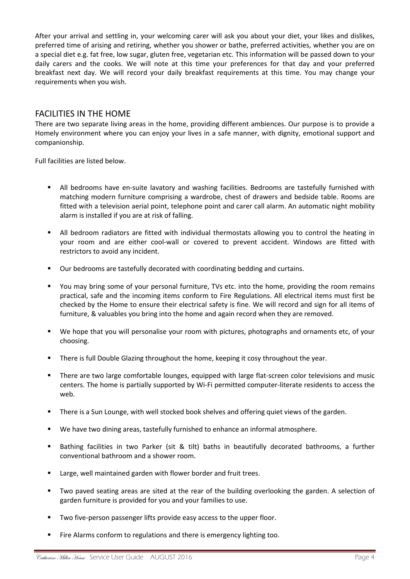After your arrival and settling in, your welcoming carer will ask you about your diet, your likes and dislikes, preferred time of arising and retiring, whether you shower or bathe, preferred activities, whether you are on a special diet e.g. fat free, low sugar, gluten free, vegetarian etc. This information will be passed down to your daily carers and the cooks. We will note at this time your preferences for that day and your preferred breakfast next day. We will record your daily breakfast requirements at this time. You may change your requirements when you wish.

#### FACILITIES IN THE HOME

There are two separate living areas in the home, providing different ambiences. Our purpose is to provide a Homely environment where you can enjoy your lives in a safe manner, with dignity, emotional support and companionship.

Full facilities are listed below.

- All bedrooms have en-suite lavatory and washing facilities. Bedrooms are tastefully furnished with matching modern furniture comprising a wardrobe, chest of drawers and bedside table. Rooms are fitted with a television aerial point, telephone point and carer call alarm. An automatic night mobility alarm is installed if you are at risk of falling.
- All bedroom radiators are fitted with individual thermostats allowing you to control the heating in your room and are either cool-wall or covered to prevent accident. Windows are fitted with restrictors to avoid any incident.
- Our bedrooms are tastefully decorated with coordinating bedding and curtains.
- You may bring some of your personal furniture, TVs etc. into the home, providing the room remains practical, safe and the incoming items conform to Fire Regulations. All electrical items must first be checked by the Home to ensure their electrical safety is fine. We will record and sign for all items of furniture, & valuables you bring into the home and again record when they are removed.
- We hope that you will personalise your room with pictures, photographs and ornaments etc, of your choosing.
- There is full Double Glazing throughout the home, keeping it cosy throughout the year.
- There are two large comfortable lounges, equipped with large flat-screen color televisions and music centers. The home is partially supported by Wi-Fi permitted computer-literate residents to access the web.
- There is a Sun Lounge, with well stocked book shelves and offering quiet views of the garden.
- We have two dining areas, tastefully furnished to enhance an informal atmosphere.
- Bathing facilities in two Parker (sit & tilt) baths in beautifully decorated bathrooms, a further conventional bathroom and a shower room.
- Large, well maintained garden with flower border and fruit trees.
- Two paved seating areas are sited at the rear of the building overlooking the garden. A selection of garden furniture is provided for you and your families to use.
- Two five-person passenger lifts provide easy access to the upper floor.
- Fire Alarms conform to regulations and there is emergency lighting too.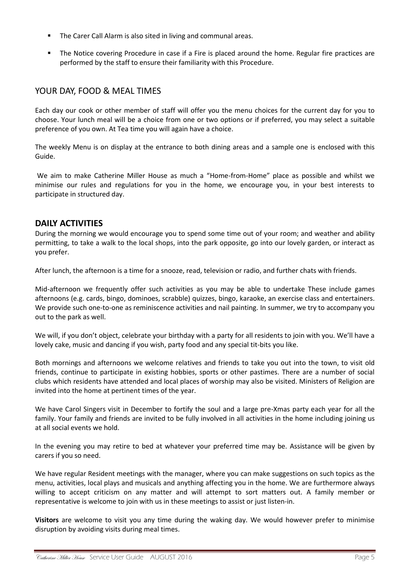- The Carer Call Alarm is also sited in living and communal areas.
- The Notice covering Procedure in case if a Fire is placed around the home. Regular fire practices are performed by the staff to ensure their familiarity with this Procedure.

#### YOUR DAY, FOOD & MEAL TIMES

Each day our cook or other member of staff will offer you the menu choices for the current day for you to choose. Your lunch meal will be a choice from one or two options or if preferred, you may select a suitable preference of you own. At Tea time you will again have a choice.

The weekly Menu is on display at the entrance to both dining areas and a sample one is enclosed with this Guide.

We aim to make Catherine Miller House as much a "Home-from-Home" place as possible and whilst we minimise our rules and regulations for you in the home, we encourage you, in your best interests to participate in structured day.

#### **DAILY ACTIVITIES**

During the morning we would encourage you to spend some time out of your room; and weather and ability permitting, to take a walk to the local shops, into the park opposite, go into our lovely garden, or interact as you prefer.

After lunch, the afternoon is a time for a snooze, read, television or radio, and further chats with friends.

Mid-afternoon we frequently offer such activities as you may be able to undertake These include games afternoons (e.g. cards, bingo, dominoes, scrabble) quizzes, bingo, karaoke, an exercise class and entertainers. We provide such one-to-one as reminiscence activities and nail painting. In summer, we try to accompany you out to the park as well.

We will, if you don't object, celebrate your birthday with a party for all residents to join with you. We'll have a lovely cake, music and dancing if you wish, party food and any special tit-bits you like.

Both mornings and afternoons we welcome relatives and friends to take you out into the town, to visit old friends, continue to participate in existing hobbies, sports or other pastimes. There are a number of social clubs which residents have attended and local places of worship may also be visited. Ministers of Religion are invited into the home at pertinent times of the year.

We have Carol Singers visit in December to fortify the soul and a large pre-Xmas party each year for all the family. Your family and friends are invited to be fully involved in all activities in the home including joining us at all social events we hold.

In the evening you may retire to bed at whatever your preferred time may be. Assistance will be given by carers if you so need.

We have regular Resident meetings with the manager, where you can make suggestions on such topics as the menu, activities, local plays and musicals and anything affecting you in the home. We are furthermore always willing to accept criticism on any matter and will attempt to sort matters out. A family member or representative is welcome to join with us in these meetings to assist or just listen-in.

**Visitors** are welcome to visit you any time during the waking day. We would however prefer to minimise disruption by avoiding visits during meal times.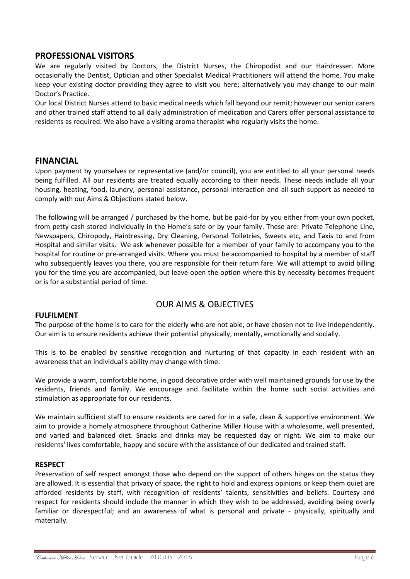#### **PROFESSIONAL VISITORS**

We are regularly visited by Doctors, the District Nurses, the Chiropodist and our Hairdresser. More occasionally the Dentist, Optician and other Specialist Medical Practitioners will attend the home. You make keep your existing doctor providing they agree to visit you here; alternatively you may change to our main Doctor's Practice.

Our local District Nurses attend to basic medical needs which fall beyond our remit; however our senior carers and other trained staff attend to all daily administration of medication and Carers offer personal assistance to residents as required. We also have a visiting aroma therapist who regularly visits the home.

#### **FINANCIAL**

Upon payment by yourselves or representative (and/or council), you are entitled to all your personal needs being fulfilled. All our residents are treated equally according to their needs. These needs include all your housing, heating, food, laundry, personal assistance, personal interaction and all such support as needed to comply with our Aims & Objections stated below.

The following will be arranged / purchased by the home, but be paid-for by you either from your own pocket, from petty cash stored individually in the Home's safe or by your family. These are: Private Telephone Line, Newspapers, Chiropody, Hairdressing, Dry Cleaning, Personal Toiletries, Sweets etc, and Taxis to and from Hospital and similar visits. We ask whenever possible for a member of your family to accompany you to the hospital for routine or pre-arranged visits. Where you must be accompanied to hospital by a member of staff who subsequently leaves you there, you are responsible for their return fare. We will attempt to avoid billing you for the time you are accompanied, but leave open the option where this by necessity becomes frequent or is for a substantial period of time.

#### OUR AIMS & OBJECTIVES

#### **FULFILMENT**

The purpose of the home is to care for the elderly who are not able, or have chosen not to live independently. Our aim is to ensure residents achieve their potential physically, mentally, emotionally and socially.

This is to be enabled by sensitive recognition and nurturing of that capacity in each resident with an awareness that an individual's ability may change with time.

We provide a warm, comfortable home, in good decorative order with well maintained grounds for use by the residents, friends and family. We encourage and facilitate within the home such social activities and stimulation as appropriate for our residents.

We maintain sufficient staff to ensure residents are cared for in a safe, clean & supportive environment. We aim to provide a homely atmosphere throughout Catherine Miller House with a wholesome, well presented, and varied and balanced diet. Snacks and drinks may be requested day or night. We aim to make our residents' lives comfortable, happy and secure with the assistance of our dedicated and trained staff.

#### **RESPECT**

Preservation of self respect amongst those who depend on the support of others hinges on the status they are allowed. It is essential that privacy of space, the right to hold and express opinions or keep them quiet are afforded residents by staff, with recognition of residents' talents, sensitivities and beliefs. Courtesy and respect for residents should include the manner in which they wish to be addressed, avoiding being overly familiar or disrespectful; and an awareness of what is personal and private - physically, spiritually and materially.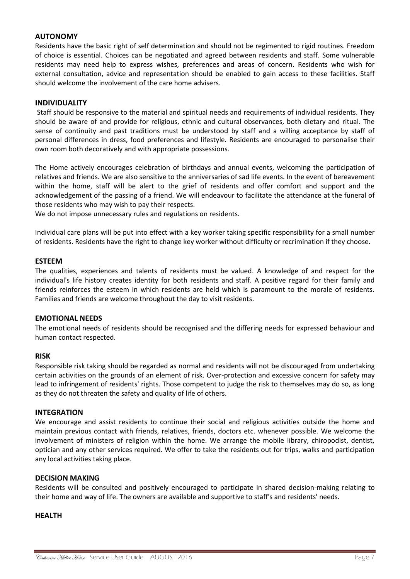#### **AUTONOMY**

Residents have the basic right of self determination and should not be regimented to rigid routines. Freedom of choice is essential. Choices can be negotiated and agreed between residents and staff. Some vulnerable residents may need help to express wishes, preferences and areas of concern. Residents who wish for external consultation, advice and representation should be enabled to gain access to these facilities. Staff should welcome the involvement of the care home advisers.

#### **INDIVIDUALITY**

Staff should be responsive to the material and spiritual needs and requirements of individual residents. They should be aware of and provide for religious, ethnic and cultural observances, both dietary and ritual. The sense of continuity and past traditions must be understood by staff and a willing acceptance by staff of personal differences in dress, food preferences and lifestyle. Residents are encouraged to personalise their own room both decoratively and with appropriate possessions.

The Home actively encourages celebration of birthdays and annual events, welcoming the participation of relatives and friends. We are also sensitive to the anniversaries of sad life events. In the event of bereavement within the home, staff will be alert to the grief of residents and offer comfort and support and the acknowledgement of the passing of a friend. We will endeavour to facilitate the attendance at the funeral of those residents who may wish to pay their respects.

We do not impose unnecessary rules and regulations on residents.

Individual care plans will be put into effect with a key worker taking specific responsibility for a small number of residents. Residents have the right to change key worker without difficulty or recrimination if they choose.

#### **ESTEEM**

The qualities, experiences and talents of residents must be valued. A knowledge of and respect for the individual's life history creates identity for both residents and staff. A positive regard for their family and friends reinforces the esteem in which residents are held which is paramount to the morale of residents. Families and friends are welcome throughout the day to visit residents.

#### **EMOTIONAL NEEDS**

The emotional needs of residents should be recognised and the differing needs for expressed behaviour and human contact respected.

#### **RISK**

Responsible risk taking should be regarded as normal and residents will not be discouraged from undertaking certain activities on the grounds of an element of risk. Over-protection and excessive concern for safety may lead to infringement of residents' rights. Those competent to judge the risk to themselves may do so, as long as they do not threaten the safety and quality of life of others.

#### **INTEGRATION**

We encourage and assist residents to continue their social and religious activities outside the home and maintain previous contact with friends, relatives, friends, doctors etc. whenever possible. We welcome the involvement of ministers of religion within the home. We arrange the mobile library, chiropodist, dentist, optician and any other services required. We offer to take the residents out for trips, walks and participation any local activities taking place.

#### **DECISION MAKING**

Residents will be consulted and positively encouraged to participate in shared decision-making relating to their home and way of life. The owners are available and supportive to staff's and residents' needs.

#### **HEALTH**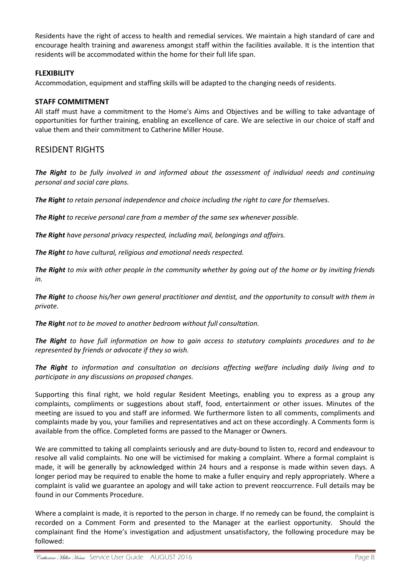Residents have the right of access to health and remedial services. We maintain a high standard of care and encourage health training and awareness amongst staff within the facilities available. It is the intention that residents will be accommodated within the home for their full life span.

#### **FLEXIBILITY**

Accommodation, equipment and staffing skills will be adapted to the changing needs of residents.

#### **STAFF COMMITMENT**

All staff must have a commitment to the Home's Aims and Objectives and be willing to take advantage of opportunities for further training, enabling an excellence of care. We are selective in our choice of staff and value them and their commitment to Catherine Miller House.

#### RESIDENT RIGHTS

*The Right to be fully involved in and informed about the assessment of individual needs and continuing personal and social care plans.*

*The Right to retain personal independence and choice including the right to care for themselves.*

*The Right to receive personal care from a member of the same sex whenever possible.*

*The Right have personal privacy respected, including mail, belongings and affairs.*

*The Right to have cultural, religious and emotional needs respected.*

*The Right to mix with other people in the community whether by going out of the home or by inviting friends in.*

*The Right to choose his/her own general practitioner and dentist, and the opportunity to consult with them in private.*

*The Right not to be moved to another bedroom without full consultation.*

*The Right to have full information on how to gain access to statutory complaints procedures and to be represented by friends or advocate if they so wish.*

*The Right to information and consultation on decisions affecting welfare including daily living and to participate in any discussions on proposed changes.*

Supporting this final right, we hold regular Resident Meetings, enabling you to express as a group any complaints, compliments or suggestions about staff, food, entertainment or other issues. Minutes of the meeting are issued to you and staff are informed. We furthermore listen to all comments, compliments and complaints made by you, your families and representatives and act on these accordingly. A Comments form is available from the office. Completed forms are passed to the Manager or Owners.

We are committed to taking all complaints seriously and are duty-bound to listen to, record and endeavour to resolve all valid complaints. No one will be victimised for making a complaint. Where a formal complaint is made, it will be generally by acknowledged within 24 hours and a response is made within seven days. A longer period may be required to enable the home to make a fuller enquiry and reply appropriately. Where a complaint is valid we guarantee an apology and will take action to prevent reoccurrence. Full details may be found in our Comments Procedure.

Where a complaint is made, it is reported to the person in charge. If no remedy can be found, the complaint is recorded on a Comment Form and presented to the Manager at the earliest opportunity. Should the complainant find the Home's investigation and adjustment unsatisfactory, the following procedure may be followed: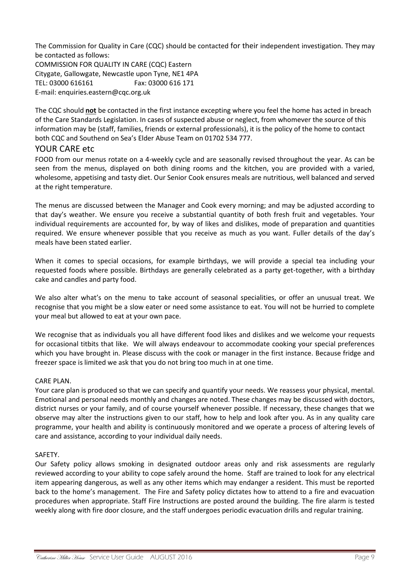The Commission for Quality in Care (CQC) should be contacted for their independent investigation. They may be contacted as follows: COMMISSION FOR QUALITY IN CARE (CQC) Eastern Citygate, Gallowgate, Newcastle upon Tyne, NE1 4PA TEL: 03000 616161 Fax: 03000 616 171 E-mail: [enquiries.eastern@cqc.org.uk](mailto:enquiries.colchester@csci.gsi.gov.uk)

The CQC should **not** be contacted in the first instance excepting where you feel the home has acted in breach of the Care Standards Legislation. In cases of suspected abuse or neglect, from whomever the source of this information may be (staff, families, friends or external professionals), it is the policy of the home to contact both CQC and Southend on Sea's Elder Abuse Team on 01702 534 777.

#### YOUR CARE etc

FOOD from our menus rotate on a 4-weekly cycle and are seasonally revised throughout the year. As can be seen from the menus, displayed on both dining rooms and the kitchen, you are provided with a varied, wholesome, appetising and tasty diet. Our Senior Cook ensures meals are nutritious, well balanced and served at the right temperature.

The menus are discussed between the Manager and Cook every morning; and may be adjusted according to that day's weather. We ensure you receive a substantial quantity of both fresh fruit and vegetables. Your individual requirements are accounted for, by way of likes and dislikes, mode of preparation and quantities required. We ensure whenever possible that you receive as much as you want. Fuller details of the day's meals have been stated earlier.

When it comes to special occasions, for example birthdays, we will provide a special tea including your requested foods where possible. Birthdays are generally celebrated as a party get-together, with a birthday cake and candles and party food.

We also alter what's on the menu to take account of seasonal specialities, or offer an unusual treat. We recognise that you might be a slow eater or need some assistance to eat. You will not be hurried to complete your meal but allowed to eat at your own pace.

We recognise that as individuals you all have different food likes and dislikes and we welcome your requests for occasional titbits that like. We will always endeavour to accommodate cooking your special preferences which you have brought in. Please discuss with the cook or manager in the first instance. Because fridge and freezer space is limited we ask that you do not bring too much in at one time.

#### CARE PLAN.

Your care plan is produced so that we can specify and quantify your needs. We reassess your physical, mental. Emotional and personal needs monthly and changes are noted. These changes may be discussed with doctors, district nurses or your family, and of course yourself whenever possible. If necessary, these changes that we observe may alter the instructions given to our staff, how to help and look after you. As in any quality care programme, your health and ability is continuously monitored and we operate a process of altering levels of care and assistance, according to your individual daily needs.

#### SAFETY.

Our Safety policy allows smoking in designated outdoor areas only and risk assessments are regularly reviewed according to your ability to cope safely around the home. Staff are trained to look for any electrical item appearing dangerous, as well as any other items which may endanger a resident. This must be reported back to the home's management. The Fire and Safety policy dictates how to attend to a fire and evacuation procedures when appropriate. Staff Fire Instructions are posted around the building. The fire alarm is tested weekly along with fire door closure, and the staff undergoes periodic evacuation drills and regular training.